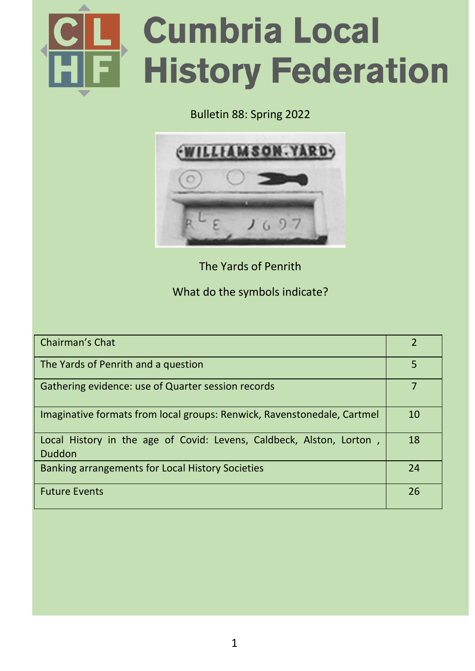

#### Bulletin 88: Spring 2022



The Yards of Penrith

#### What do the symbols indicate?

| Chairman's Chat                                                                | $\mathcal{P}$ |
|--------------------------------------------------------------------------------|---------------|
| The Yards of Penrith and a question                                            | 5             |
| Gathering evidence: use of Quarter session records                             |               |
| Imaginative formats from local groups: Renwick, Ravenstonedale, Cartmel        | 10            |
| Local History in the age of Covid: Levens, Caldbeck, Alston, Lorton,<br>Duddon | 18            |
| Banking arrangements for Local History Societies                               | 24            |
| <b>Future Events</b>                                                           | 26            |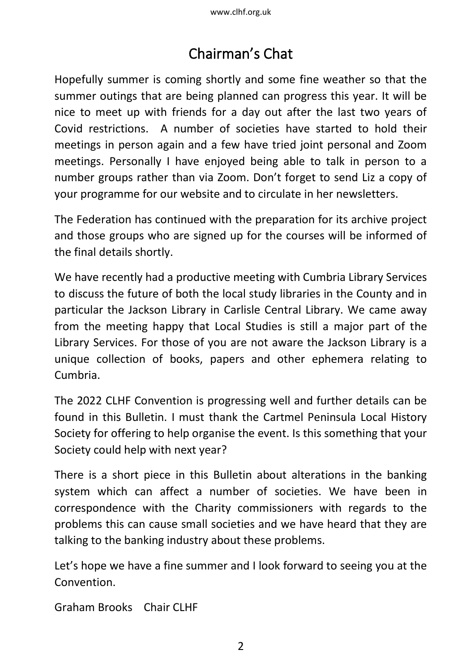## Chairman's Chat

Hopefully summer is coming shortly and some fine weather so that the summer outings that are being planned can progress this year. It will be nice to meet up with friends for a day out after the last two years of Covid restrictions. A number of societies have started to hold their meetings in person again and a few have tried joint personal and Zoom meetings. Personally I have enjoyed being able to talk in person to a number groups rather than via Zoom. Don't forget to send Liz a copy of your programme for our website and to circulate in her newsletters.

The Federation has continued with the preparation for its archive project and those groups who are signed up for the courses will be informed of the final details shortly.

We have recently had a productive meeting with Cumbria Library Services to discuss the future of both the local study libraries in the County and in particular the Jackson Library in Carlisle Central Library. We came away from the meeting happy that Local Studies is still a major part of the Library Services. For those of you are not aware the Jackson Library is a unique collection of books, papers and other ephemera relating to Cumbria.

The 2022 CLHF Convention is progressing well and further details can be found in this Bulletin. I must thank the Cartmel Peninsula Local History Society for offering to help organise the event. Is this something that your Society could help with next year?

There is a short piece in this Bulletin about alterations in the banking system which can affect a number of societies. We have been in correspondence with the Charity commissioners with regards to the problems this can cause small societies and we have heard that they are talking to the banking industry about these problems.

Let's hope we have a fine summer and I look forward to seeing you at the Convention.

Graham Brooks Chair CLHF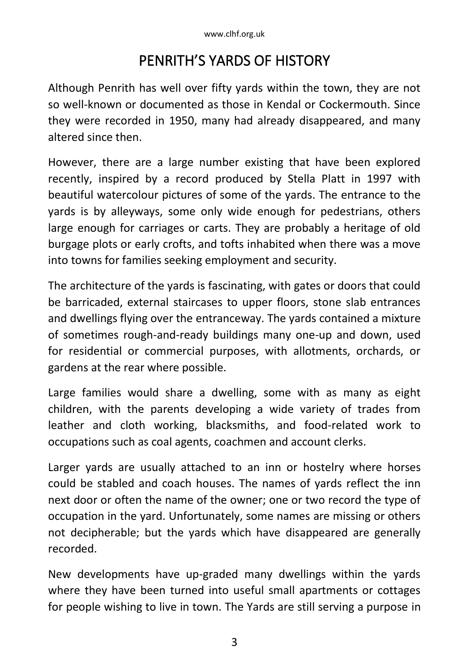### PENRITH'S YARDS OF HISTORY

Although Penrith has well over fifty yards within the town, they are not so well-known or documented as those in Kendal or Cockermouth. Since they were recorded in 1950, many had already disappeared, and many altered since then.

However, there are a large number existing that have been explored recently, inspired by a record produced by Stella Platt in 1997 with beautiful watercolour pictures of some of the yards. The entrance to the yards is by alleyways, some only wide enough for pedestrians, others large enough for carriages or carts. They are probably a heritage of old burgage plots or early crofts, and tofts inhabited when there was a move into towns for families seeking employment and security.

The architecture of the yards is fascinating, with gates or doors that could be barricaded, external staircases to upper floors, stone slab entrances and dwellings flying over the entranceway. The yards contained a mixture of sometimes rough-and-ready buildings many one-up and down, used for residential or commercial purposes, with allotments, orchards, or gardens at the rear where possible.

Large families would share a dwelling, some with as many as eight children, with the parents developing a wide variety of trades from leather and cloth working, blacksmiths, and food-related work to occupations such as coal agents, coachmen and account clerks.

Larger yards are usually attached to an inn or hostelry where horses could be stabled and coach houses. The names of yards reflect the inn next door or often the name of the owner; one or two record the type of occupation in the yard. Unfortunately, some names are missing or others not decipherable; but the yards which have disappeared are generally recorded.

New developments have up-graded many dwellings within the yards where they have been turned into useful small apartments or cottages for people wishing to live in town. The Yards are still serving a purpose in

3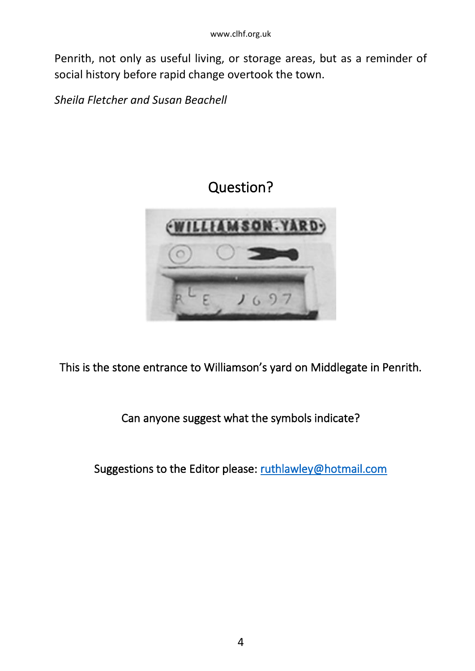Penrith, not only as useful living, or storage areas, but as a reminder of social history before rapid change overtook the town.

*Sheila Fletcher and Susan Beachell*

### Question?



This is the stone entrance to Williamson's yard on Middlegate in Penrith.

Can anyone suggest what the symbols indicate?

Suggestions to the Editor please[: ruthlawley@hotmail.com](mailto:ruthlawley@hotmail.com)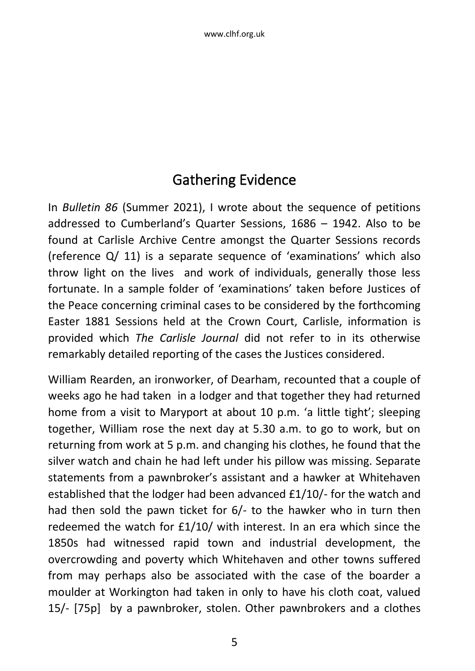### Gathering Evidence

In *Bulletin 86* (Summer 2021), I wrote about the sequence of petitions addressed to Cumberland's Quarter Sessions, 1686 – 1942. Also to be found at Carlisle Archive Centre amongst the Quarter Sessions records (reference Q/ 11) is a separate sequence of 'examinations' which also throw light on the lives and work of individuals, generally those less fortunate. In a sample folder of 'examinations' taken before Justices of the Peace concerning criminal cases to be considered by the forthcoming Easter 1881 Sessions held at the Crown Court, Carlisle, information is provided which *The Carlisle Journal* did not refer to in its otherwise remarkably detailed reporting of the cases the Justices considered.

William Rearden, an ironworker, of Dearham, recounted that a couple of weeks ago he had taken in a lodger and that together they had returned home from a visit to Maryport at about 10 p.m. 'a little tight'; sleeping together, William rose the next day at 5.30 a.m. to go to work, but on returning from work at 5 p.m. and changing his clothes, he found that the silver watch and chain he had left under his pillow was missing. Separate statements from a pawnbroker's assistant and a hawker at Whitehaven established that the lodger had been advanced £1/10/- for the watch and had then sold the pawn ticket for 6/- to the hawker who in turn then redeemed the watch for £1/10/ with interest. In an era which since the 1850s had witnessed rapid town and industrial development, the overcrowding and poverty which Whitehaven and other towns suffered from may perhaps also be associated with the case of the boarder a moulder at Workington had taken in only to have his cloth coat, valued 15/- [75p] by a pawnbroker, stolen. Other pawnbrokers and a clothes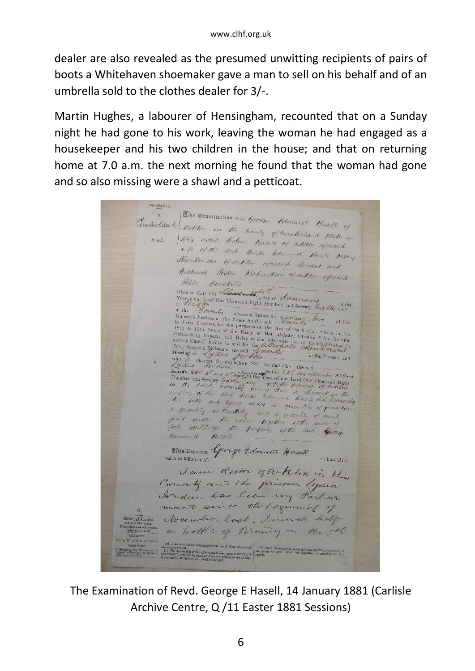dealer are also revealed as the presumed unwitting recipients of pairs of boots a Whitehaven shoemaker gave a man to sell on his behalf and of an umbrella sold to the clothes dealer for 3/-.

Martin Hughes, a labourer of Hensingham, recounted that on a Sunday night he had gone to his work, leaving the woman he had engaged as a housekeeper and his two children in the house; and that on returning home at 7.0 a.m. the next morning he found that the woman had gone and so also missing were a shawl and a petticoat.

The examination of the heart formund Hasell of Tumberland arthur in the terms of connect Hasell of towit. Hely orders Helen Hoselt of arkton aforesaid wife of the said George Edmund Hasell may Thombinson of arthor aforesaid Servant and Richard Foster Richardson of aither afound Police Constable Year of our Lord One Thousand Eight Human of a determined by the state of  $R_{i,j}$  in the lattice of the lattice of the presentation of the Pressure of the Press of the Press of the Press of the Press of the Distribution i mothlog of the said 400se between a deviant in the<br>Anic units of briefly andy a quantity of periodicine<br>a quantity of briefly and a quantity of periodicine<br>forty spillings the brokers of the same of<br>forty spillings the pro This Deponent George Edmune Hasell on bis Oath I am Rodor of aik ton in the County and the prisoner Lydia Jordan has been my Parlom mais since the beginning November last, Immesser half a bottle of Brandy on the sthe ribe the several witnesses with their abodes and | to) State the deputhies of the witness, as nastly us paraller va<br>pilon of the offerer was show simple largeng, or <sup>| the</sup> territor is used. What his deposition is complete

The Examination of Revd. George E Hasell, 14 January 1881 (Carlisle Archive Centre, Q /11 Easter 1881 Sessions)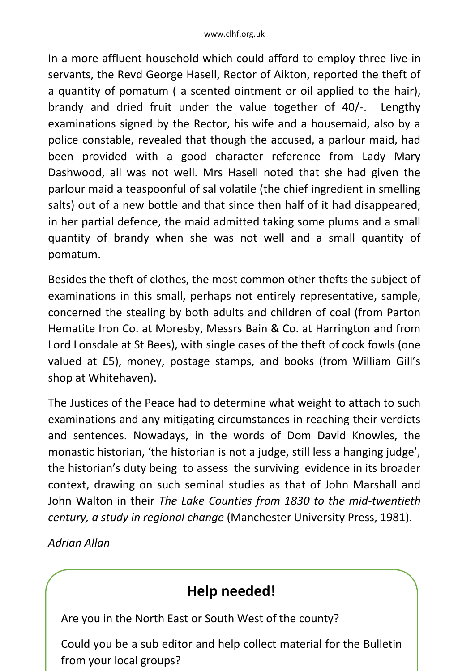In a more affluent household which could afford to employ three live-in servants, the Revd George Hasell, Rector of Aikton, reported the theft of a quantity of pomatum ( a scented ointment or oil applied to the hair), brandy and dried fruit under the value together of 40/-. Lengthy examinations signed by the Rector, his wife and a housemaid, also by a police constable, revealed that though the accused, a parlour maid, had been provided with a good character reference from Lady Mary Dashwood, all was not well. Mrs Hasell noted that she had given the parlour maid a teaspoonful of sal volatile (the chief ingredient in smelling salts) out of a new bottle and that since then half of it had disappeared; in her partial defence, the maid admitted taking some plums and a small quantity of brandy when she was not well and a small quantity of pomatum.

Besides the theft of clothes, the most common other thefts the subject of examinations in this small, perhaps not entirely representative, sample, concerned the stealing by both adults and children of coal (from Parton Hematite Iron Co. at Moresby, Messrs Bain & Co. at Harrington and from Lord Lonsdale at St Bees), with single cases of the theft of cock fowls (one valued at £5), money, postage stamps, and books (from William Gill's shop at Whitehaven).

The Justices of the Peace had to determine what weight to attach to such examinations and any mitigating circumstances in reaching their verdicts and sentences. Nowadays, in the words of Dom David Knowles, the monastic historian, 'the historian is not a judge, still less a hanging judge', the historian's duty being to assess the surviving evidence in its broader context, drawing on such seminal studies as that of John Marshall and John Walton in their *The Lake Counties from 1830 to the mid-twentieth century, a study in regional change* (Manchester University Press, 1981).

*Adrian Allan* 

### $\overline{a}$ **Help needed!**

Are you in the North East or South West of the county?

Could you be a sub editor and help collect material for the Bulletin from your local groups?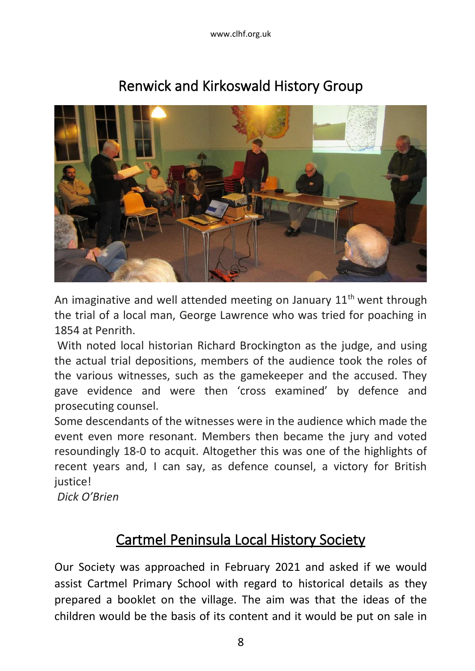www.clhf.org.uk



### Renwick and Kirkoswald History Group

An imaginative and well attended meeting on January  $11<sup>th</sup>$  went through the trial of a local man, George Lawrence who was tried for poaching in 1854 at Penrith.

With noted local historian Richard Brockington as the judge, and using the actual trial depositions, members of the audience took the roles of the various witnesses, such as the gamekeeper and the accused. They gave evidence and were then 'cross examined' by defence and prosecuting counsel.

Some descendants of the witnesses were in the audience which made the event even more resonant. Members then became the jury and voted resoundingly 18-0 to acquit. Altogether this was one of the highlights of recent years and, I can say, as defence counsel, a victory for British justice!

*Dick O'Brien*

### Cartmel Peninsula Local History Society

Our Society was approached in February 2021 and asked if we would assist Cartmel Primary School with regard to historical details as they prepared a booklet on the village. The aim was that the ideas of the children would be the basis of its content and it would be put on sale in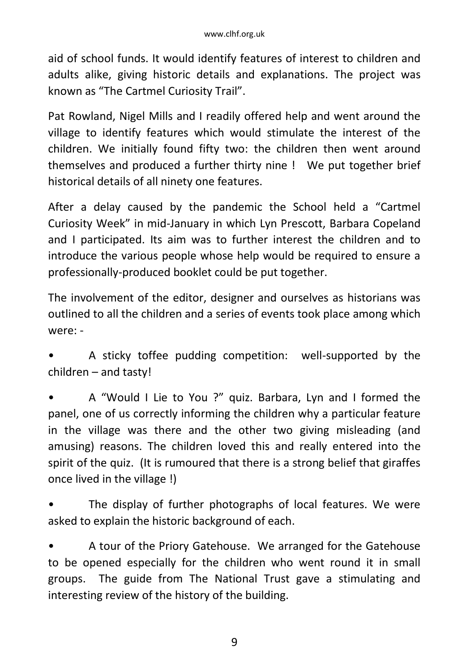aid of school funds. It would identify features of interest to children and adults alike, giving historic details and explanations. The project was known as "The Cartmel Curiosity Trail".

Pat Rowland, Nigel Mills and I readily offered help and went around the village to identify features which would stimulate the interest of the children. We initially found fifty two: the children then went around themselves and produced a further thirty nine ! We put together brief historical details of all ninety one features.

After a delay caused by the pandemic the School held a "Cartmel Curiosity Week" in mid-January in which Lyn Prescott, Barbara Copeland and I participated. Its aim was to further interest the children and to introduce the various people whose help would be required to ensure a professionally-produced booklet could be put together.

The involvement of the editor, designer and ourselves as historians was outlined to all the children and a series of events took place among which were: -

- A sticky toffee pudding competition: well-supported by the children – and tasty!
- A "Would I Lie to You ?" quiz. Barbara, Lyn and I formed the panel, one of us correctly informing the children why a particular feature in the village was there and the other two giving misleading (and amusing) reasons. The children loved this and really entered into the spirit of the quiz. (It is rumoured that there is a strong belief that giraffes once lived in the village !)
- The display of further photographs of local features. We were asked to explain the historic background of each.

• A tour of the Priory Gatehouse. We arranged for the Gatehouse to be opened especially for the children who went round it in small groups. The guide from The National Trust gave a stimulating and interesting review of the history of the building.

9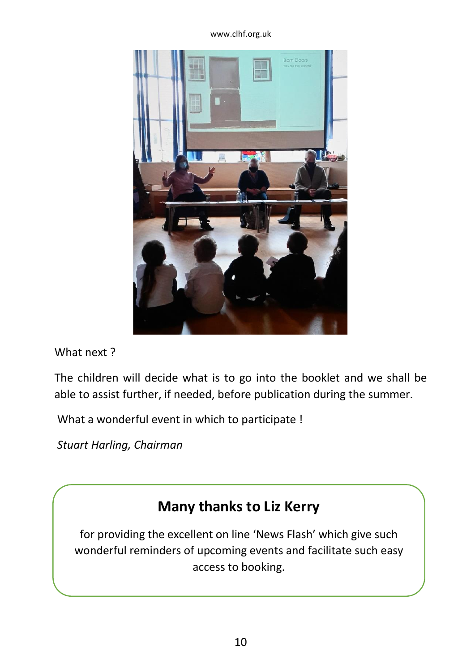#### www.clhf.org.uk



What next ?

The children will decide what is to go into the booklet and we shall be able to assist further, if needed, before publication during the summer.

What a wonderful event in which to participate !

*Stuart Harling, Chairman*

### **Many thanks to Liz Kerry**

for providing the excellent on line 'News Flash' which give such wonderful reminders of upcoming events and facilitate such easy access to booking.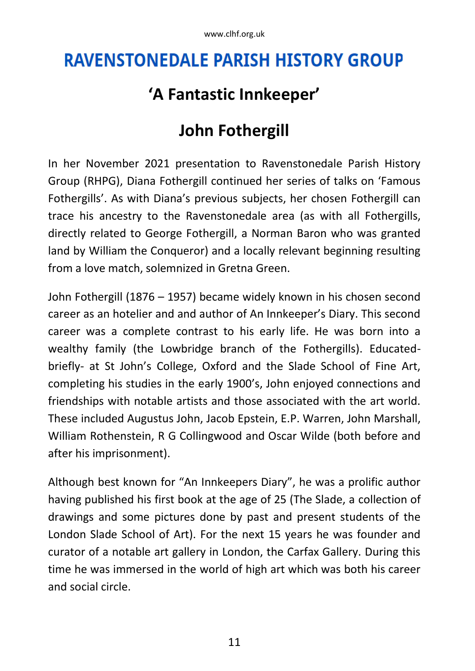# **RAVENSTONEDALE PARISH HISTORY GROUP**

## **'A Fantastic Innkeeper'**

## **John Fothergill**

In her November 2021 presentation to Ravenstonedale Parish History Group (RHPG), Diana Fothergill continued her series of talks on 'Famous Fothergills'. As with Diana's previous subjects, her chosen Fothergill can trace his ancestry to the Ravenstonedale area (as with all Fothergills, directly related to George Fothergill, a Norman Baron who was granted land by William the Conqueror) and a locally relevant beginning resulting from a love match, solemnized in Gretna Green.

John Fothergill (1876 – 1957) became widely known in his chosen second career as an hotelier and and author of An Innkeeper's Diary. This second career was a complete contrast to his early life. He was born into a wealthy family (the Lowbridge branch of the Fothergills). Educatedbriefly- at St John's College, Oxford and the Slade School of Fine Art, completing his studies in the early 1900's, John enjoyed connections and friendships with notable artists and those associated with the art world. These included Augustus John, Jacob Epstein, E.P. Warren, John Marshall, William Rothenstein, R G Collingwood and Oscar Wilde (both before and after his imprisonment).

Although best known for "An Innkeepers Diary", he was a prolific author having published his first book at the age of 25 (The Slade, a collection of drawings and some pictures done by past and present students of the London Slade School of Art). For the next 15 years he was founder and curator of a notable art gallery in London, the Carfax Gallery. During this time he was immersed in the world of high art which was both his career and social circle.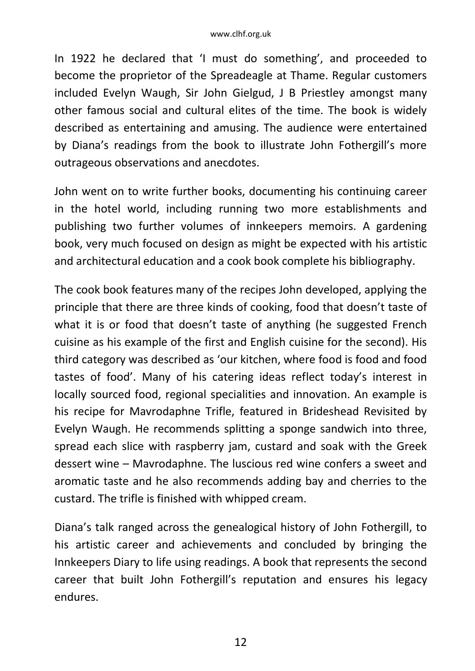In 1922 he declared that 'I must do something', and proceeded to become the proprietor of the Spreadeagle at Thame. Regular customers included Evelyn Waugh, Sir John Gielgud, J B Priestley amongst many other famous social and cultural elites of the time. The book is widely described as entertaining and amusing. The audience were entertained by Diana's readings from the book to illustrate John Fothergill's more outrageous observations and anecdotes.

John went on to write further books, documenting his continuing career in the hotel world, including running two more establishments and publishing two further volumes of innkeepers memoirs. A gardening book, very much focused on design as might be expected with his artistic and architectural education and a cook book complete his bibliography.

The cook book features many of the recipes John developed, applying the principle that there are three kinds of cooking, food that doesn't taste of what it is or food that doesn't taste of anything (he suggested French cuisine as his example of the first and English cuisine for the second). His third category was described as 'our kitchen, where food is food and food tastes of food'. Many of his catering ideas reflect today's interest in locally sourced food, regional specialities and innovation. An example is his recipe for Mavrodaphne Trifle, featured in Brideshead Revisited by Evelyn Waugh. He recommends splitting a sponge sandwich into three, spread each slice with raspberry jam, custard and soak with the Greek dessert wine – Mavrodaphne. The luscious red wine confers a sweet and aromatic taste and he also recommends adding bay and cherries to the custard. The trifle is finished with whipped cream.

Diana's talk ranged across the genealogical history of John Fothergill, to his artistic career and achievements and concluded by bringing the Innkeepers Diary to life using readings. A book that represents the second career that built John Fothergill's reputation and ensures his legacy endures.

12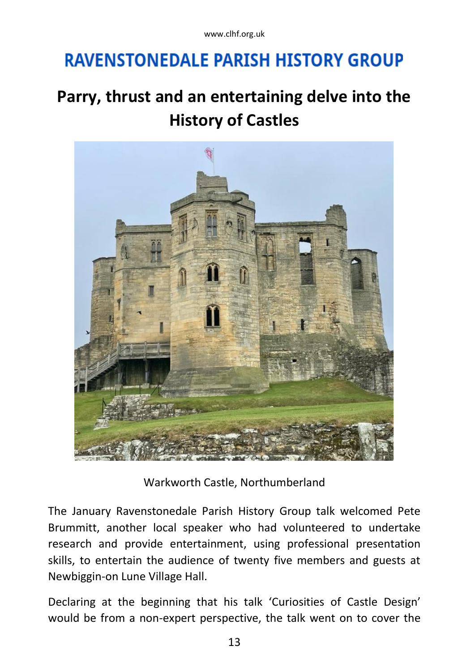# **RAVENSTONEDALE PARISH HISTORY GROUP**

## **Parry, thrust and an entertaining delve into the History of Castles**



Warkworth Castle, Northumberland

The January Ravenstonedale Parish History Group talk welcomed Pete Brummitt, another local speaker who had volunteered to undertake research and provide entertainment, using professional presentation skills, to entertain the audience of twenty five members and guests at Newbiggin-on Lune Village Hall.

Declaring at the beginning that his talk 'Curiosities of Castle Design' would be from a non-expert perspective, the talk went on to cover the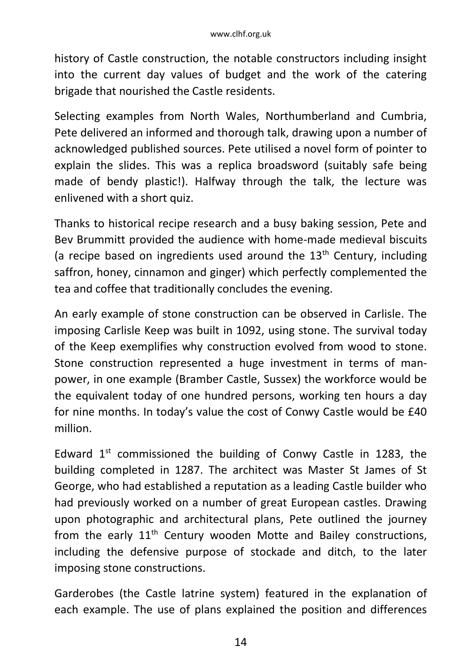history of Castle construction, the notable constructors including insight into the current day values of budget and the work of the catering brigade that nourished the Castle residents.

Selecting examples from North Wales, Northumberland and Cumbria, Pete delivered an informed and thorough talk, drawing upon a number of acknowledged published sources. Pete utilised a novel form of pointer to explain the slides. This was a replica broadsword (suitably safe being made of bendy plastic!). Halfway through the talk, the lecture was enlivened with a short quiz.

Thanks to historical recipe research and a busy baking session, Pete and Bev Brummitt provided the audience with home-made medieval biscuits (a recipe based on ingredients used around the  $13<sup>th</sup>$  Century, including saffron, honey, cinnamon and ginger) which perfectly complemented the tea and coffee that traditionally concludes the evening.

An early example of stone construction can be observed in Carlisle. The imposing Carlisle Keep was built in 1092, using stone. The survival today of the Keep exemplifies why construction evolved from wood to stone. Stone construction represented a huge investment in terms of manpower, in one example (Bramber Castle, Sussex) the workforce would be the equivalent today of one hundred persons, working ten hours a day for nine months. In today's value the cost of Conwy Castle would be £40 million.

Edward  $1^{st}$  commissioned the building of Conwy Castle in 1283, the building completed in 1287. The architect was Master St James of St George, who had established a reputation as a leading Castle builder who had previously worked on a number of great European castles. Drawing upon photographic and architectural plans, Pete outlined the journey from the early  $11<sup>th</sup>$  Century wooden Motte and Bailey constructions, including the defensive purpose of stockade and ditch, to the later imposing stone constructions.

Garderobes (the Castle latrine system) featured in the explanation of each example. The use of plans explained the position and differences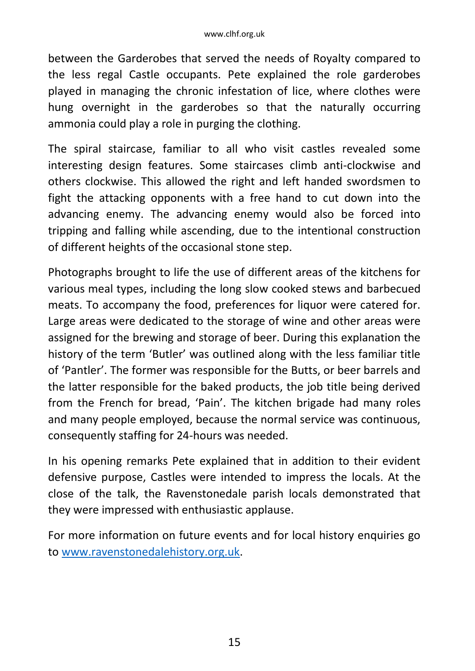between the Garderobes that served the needs of Royalty compared to the less regal Castle occupants. Pete explained the role garderobes played in managing the chronic infestation of lice, where clothes were hung overnight in the garderobes so that the naturally occurring ammonia could play a role in purging the clothing.

The spiral staircase, familiar to all who visit castles revealed some interesting design features. Some staircases climb anti-clockwise and others clockwise. This allowed the right and left handed swordsmen to fight the attacking opponents with a free hand to cut down into the advancing enemy. The advancing enemy would also be forced into tripping and falling while ascending, due to the intentional construction of different heights of the occasional stone step.

Photographs brought to life the use of different areas of the kitchens for various meal types, including the long slow cooked stews and barbecued meats. To accompany the food, preferences for liquor were catered for. Large areas were dedicated to the storage of wine and other areas were assigned for the brewing and storage of beer. During this explanation the history of the term 'Butler' was outlined along with the less familiar title of 'Pantler'. The former was responsible for the Butts, or beer barrels and the latter responsible for the baked products, the job title being derived from the French for bread, 'Pain'. The kitchen brigade had many roles and many people employed, because the normal service was continuous, consequently staffing for 24-hours was needed.

In his opening remarks Pete explained that in addition to their evident defensive purpose, Castles were intended to impress the locals. At the close of the talk, the Ravenstonedale parish locals demonstrated that they were impressed with enthusiastic applause.

For more information on future events and for local history enquiries go t[o www.ravenstonedalehistory.org.uk.](http://www.ravenstonedalehistory.org.uk/)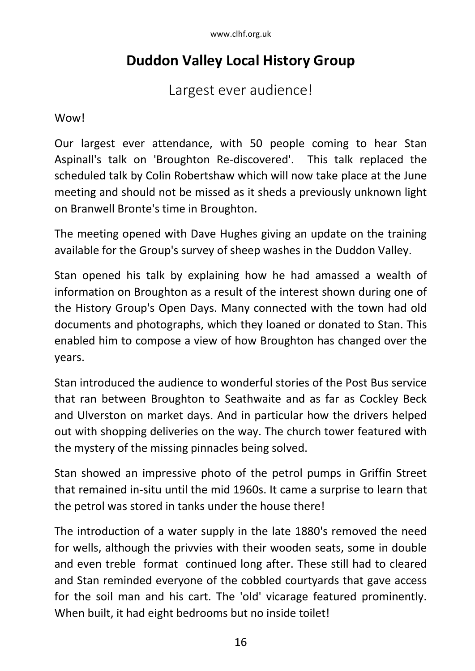### **Duddon Valley Local History Group**

Largest ever audience!

Wow!

Our largest ever attendance, with 50 people coming to hear Stan Aspinall's talk on 'Broughton Re-discovered'. This talk replaced the scheduled talk by Colin Robertshaw which will now take place at the June meeting and should not be missed as it sheds a previously unknown light on Branwell Bronte's time in Broughton.

The meeting opened with Dave Hughes giving an update on the training available for the Group's survey of sheep washes in the Duddon Valley.

Stan opened his talk by explaining how he had amassed a wealth of information on Broughton as a result of the interest shown during one of the History Group's Open Days. Many connected with the town had old documents and photographs, which they loaned or donated to Stan. This enabled him to compose a view of how Broughton has changed over the years.

Stan introduced the audience to wonderful stories of the Post Bus service that ran between Broughton to Seathwaite and as far as Cockley Beck and Ulverston on market days. And in particular how the drivers helped out with shopping deliveries on the way. The church tower featured with the mystery of the missing pinnacles being solved.

Stan showed an impressive photo of the petrol pumps in Griffin Street that remained in-situ until the mid 1960s. It came a surprise to learn that the petrol was stored in tanks under the house there!

The introduction of a water supply in the late 1880's removed the need for wells, although the privvies with their wooden seats, some in double and even treble format continued long after. These still had to cleared and Stan reminded everyone of the cobbled courtyards that gave access for the soil man and his cart. The 'old' vicarage featured prominently. When built, it had eight bedrooms but no inside toilet!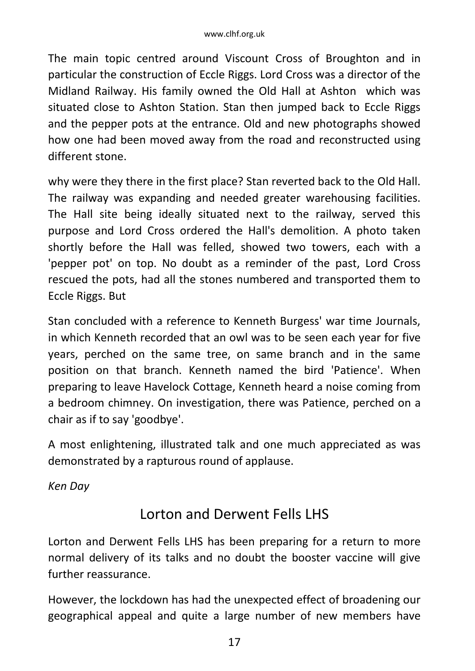The main topic centred around Viscount Cross of Broughton and in particular the construction of Eccle Riggs. Lord Cross was a director of the Midland Railway. His family owned the Old Hall at Ashton which was situated close to Ashton Station. Stan then jumped back to Eccle Riggs and the pepper pots at the entrance. Old and new photographs showed how one had been moved away from the road and reconstructed using different stone.

why were they there in the first place? Stan reverted back to the Old Hall. The railway was expanding and needed greater warehousing facilities. The Hall site being ideally situated next to the railway, served this purpose and Lord Cross ordered the Hall's demolition. A photo taken shortly before the Hall was felled, showed two towers, each with a 'pepper pot' on top. No doubt as a reminder of the past, Lord Cross rescued the pots, had all the stones numbered and transported them to Eccle Riggs. But

Stan concluded with a reference to Kenneth Burgess' war time Journals, in which Kenneth recorded that an owl was to be seen each year for five years, perched on the same tree, on same branch and in the same position on that branch. Kenneth named the bird 'Patience'. When preparing to leave Havelock Cottage, Kenneth heard a noise coming from a bedroom chimney. On investigation, there was Patience, perched on a chair as if to say 'goodbye'.

A most enlightening, illustrated talk and one much appreciated as was demonstrated by a rapturous round of applause.

*Ken Day*

### Lorton and Derwent Fells LHS

Lorton and Derwent Fells LHS has been preparing for a return to more normal delivery of its talks and no doubt the booster vaccine will give further reassurance.

However, the lockdown has had the unexpected effect of broadening our geographical appeal and quite a large number of new members have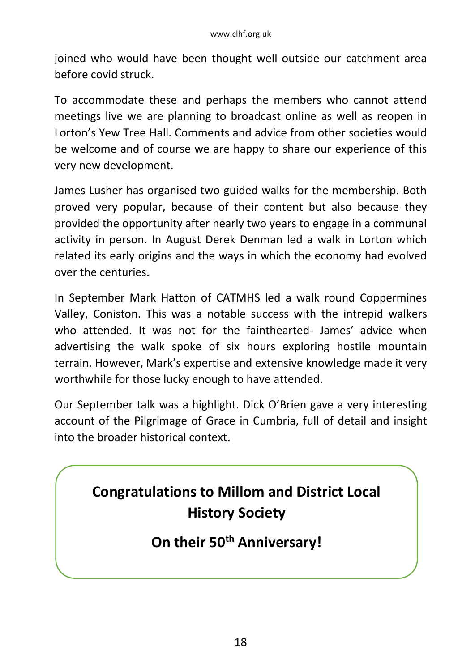joined who would have been thought well outside our catchment area before covid struck.

To accommodate these and perhaps the members who cannot attend meetings live we are planning to broadcast online as well as reopen in Lorton's Yew Tree Hall. Comments and advice from other societies would be welcome and of course we are happy to share our experience of this very new development.

James Lusher has organised two guided walks for the membership. Both proved very popular, because of their content but also because they provided the opportunity after nearly two years to engage in a communal activity in person. In August Derek Denman led a walk in Lorton which related its early origins and the ways in which the economy had evolved over the centuries.

In September Mark Hatton of CATMHS led a walk round Coppermines Valley, Coniston. This was a notable success with the intrepid walkers who attended. It was not for the fainthearted- James' advice when advertising the walk spoke of six hours exploring hostile mountain terrain. However, Mark's expertise and extensive knowledge made it very worthwhile for those lucky enough to have attended.

Our September talk was a highlight. Dick O'Brien gave a very interesting account of the Pilgrimage of Grace in Cumbria, full of detail and insight into the broader historical context.

## **Congratulations to Millom and District Local History Society**

**On their 50th Anniversary!**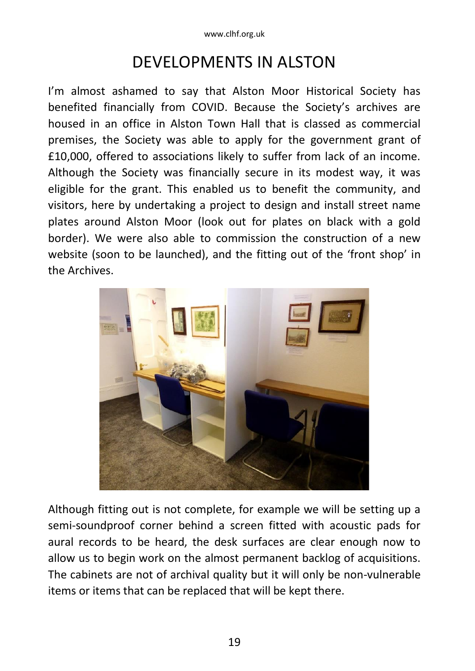## DEVELOPMENTS IN ALSTON

I'm almost ashamed to say that Alston Moor Historical Society has benefited financially from COVID. Because the Society's archives are housed in an office in Alston Town Hall that is classed as commercial premises, the Society was able to apply for the government grant of £10,000, offered to associations likely to suffer from lack of an income. Although the Society was financially secure in its modest way, it was eligible for the grant. This enabled us to benefit the community, and visitors, here by undertaking a project to design and install street name plates around Alston Moor (look out for plates on black with a gold border). We were also able to commission the construction of a new website (soon to be launched), and the fitting out of the 'front shop' in the Archives.



Although fitting out is not complete, for example we will be setting up a semi-soundproof corner behind a screen fitted with acoustic pads for aural records to be heard, the desk surfaces are clear enough now to allow us to begin work on the almost permanent backlog of acquisitions. The cabinets are not of archival quality but it will only be non-vulnerable items or items that can be replaced that will be kept there.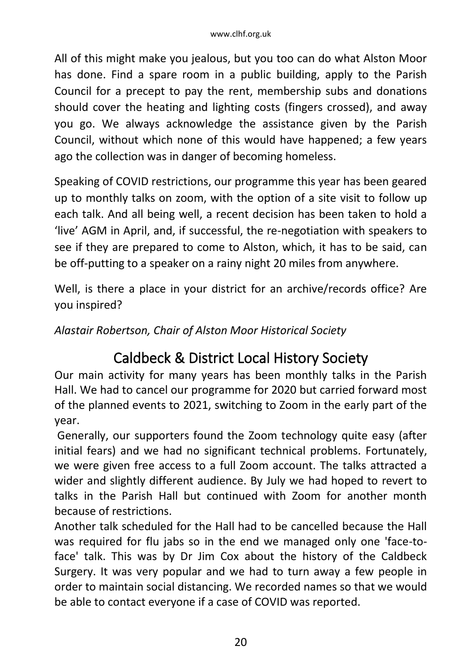All of this might make you jealous, but you too can do what Alston Moor has done. Find a spare room in a public building, apply to the Parish Council for a precept to pay the rent, membership subs and donations should cover the heating and lighting costs (fingers crossed), and away you go. We always acknowledge the assistance given by the Parish Council, without which none of this would have happened; a few years ago the collection was in danger of becoming homeless.

Speaking of COVID restrictions, our programme this year has been geared up to monthly talks on zoom, with the option of a site visit to follow up each talk. And all being well, a recent decision has been taken to hold a 'live' AGM in April, and, if successful, the re-negotiation with speakers to see if they are prepared to come to Alston, which, it has to be said, can be off-putting to a speaker on a rainy night 20 miles from anywhere.

Well, is there a place in your district for an archive/records office? Are you inspired?

*Alastair Robertson, Chair of Alston Moor Historical Society*

### Caldbeck & District Local History Society

Our main activity for many years has been monthly talks in the Parish Hall. We had to cancel our programme for 2020 but carried forward most of the planned events to 2021, switching to Zoom in the early part of the year.

Generally, our supporters found the Zoom technology quite easy (after initial fears) and we had no significant technical problems. Fortunately, we were given free access to a full Zoom account. The talks attracted a wider and slightly different audience. By July we had hoped to revert to talks in the Parish Hall but continued with Zoom for another month because of restrictions.

Another talk scheduled for the Hall had to be cancelled because the Hall was required for flu jabs so in the end we managed only one 'face-toface' talk. This was by Dr Jim Cox about the history of the Caldbeck Surgery. It was very popular and we had to turn away a few people in order to maintain social distancing. We recorded names so that we would be able to contact everyone if a case of COVID was reported.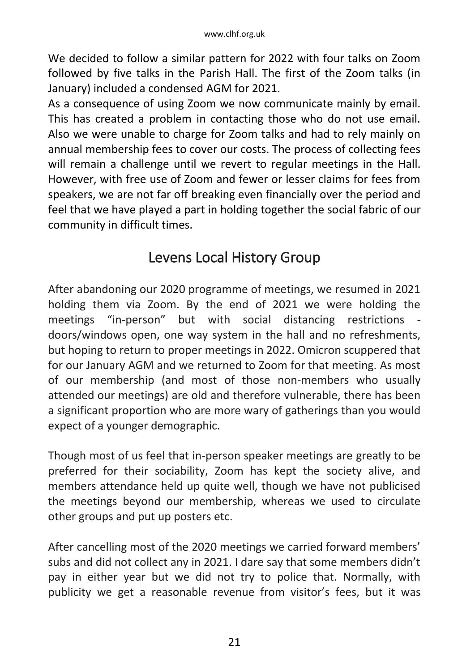We decided to follow a similar pattern for 2022 with four talks on Zoom followed by five talks in the Parish Hall. The first of the Zoom talks (in January) included a condensed AGM for 2021.

As a consequence of using Zoom we now communicate mainly by email. This has created a problem in contacting those who do not use email. Also we were unable to charge for Zoom talks and had to rely mainly on annual membership fees to cover our costs. The process of collecting fees will remain a challenge until we revert to regular meetings in the Hall. However, with free use of Zoom and fewer or lesser claims for fees from speakers, we are not far off breaking even financially over the period and feel that we have played a part in holding together the social fabric of our community in difficult times.

### Levens Local History Group

After abandoning our 2020 programme of meetings, we resumed in 2021 holding them via Zoom. By the end of 2021 we were holding the meetings "in-person" but with social distancing restrictions doors/windows open, one way system in the hall and no refreshments, but hoping to return to proper meetings in 2022. Omicron scuppered that for our January AGM and we returned to Zoom for that meeting. As most of our membership (and most of those non-members who usually attended our meetings) are old and therefore vulnerable, there has been a significant proportion who are more wary of gatherings than you would expect of a younger demographic.

Though most of us feel that in-person speaker meetings are greatly to be preferred for their sociability, Zoom has kept the society alive, and members attendance held up quite well, though we have not publicised the meetings beyond our membership, whereas we used to circulate other groups and put up posters etc.

After cancelling most of the 2020 meetings we carried forward members' subs and did not collect any in 2021. I dare say that some members didn't pay in either year but we did not try to police that. Normally, with publicity we get a reasonable revenue from visitor's fees, but it was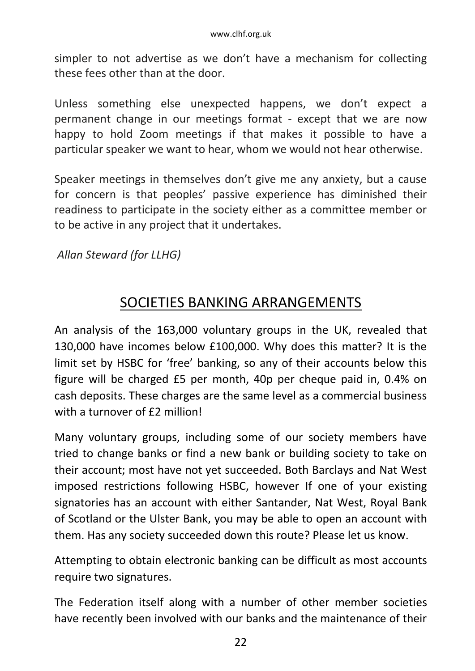simpler to not advertise as we don't have a mechanism for collecting these fees other than at the door.

Unless something else unexpected happens, we don't expect a permanent change in our meetings format - except that we are now happy to hold Zoom meetings if that makes it possible to have a particular speaker we want to hear, whom we would not hear otherwise.

Speaker meetings in themselves don't give me any anxiety, but a cause for concern is that peoples' passive experience has diminished their readiness to participate in the society either as a committee member or to be active in any project that it undertakes.

#### *Allan Steward (for LLHG)*

### SOCIETIES BANKING ARRANGEMENTS

An analysis of the 163,000 voluntary groups in the UK, revealed that 130,000 have incomes below £100,000. Why does this matter? It is the limit set by HSBC for 'free' banking, so any of their accounts below this figure will be charged £5 per month, 40p per cheque paid in, 0.4% on cash deposits. These charges are the same level as a commercial business with a turnover of £2 million!

Many voluntary groups, including some of our society members have tried to change banks or find a new bank or building society to take on their account; most have not yet succeeded. Both Barclays and Nat West imposed restrictions following HSBC, however If one of your existing signatories has an account with either Santander, Nat West, Royal Bank of Scotland or the Ulster Bank, you may be able to open an account with them. Has any society succeeded down this route? Please let us know.

Attempting to obtain electronic banking can be difficult as most accounts require two signatures.

The Federation itself along with a number of other member societies have recently been involved with our banks and the maintenance of their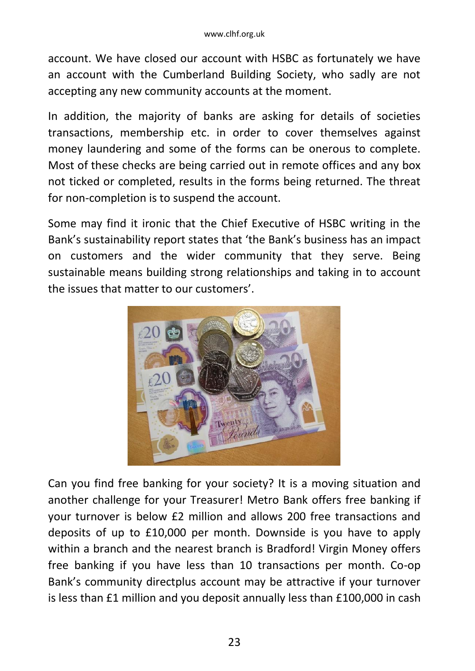account. We have closed our account with HSBC as fortunately we have an account with the Cumberland Building Society, who sadly are not accepting any new community accounts at the moment.

In addition, the majority of banks are asking for details of societies transactions, membership etc. in order to cover themselves against money laundering and some of the forms can be onerous to complete. Most of these checks are being carried out in remote offices and any box not ticked or completed, results in the forms being returned. The threat for non-completion is to suspend the account.

Some may find it ironic that the Chief Executive of HSBC writing in the Bank's sustainability report states that 'the Bank's business has an impact on customers and the wider community that they serve. Being sustainable means building strong relationships and taking in to account the issues that matter to our customers'.



Can you find free banking for your society? It is a moving situation and another challenge for your Treasurer! Metro Bank offers free banking if your turnover is below £2 million and allows 200 free transactions and deposits of up to £10,000 per month. Downside is you have to apply within a branch and the nearest branch is Bradford! Virgin Money offers free banking if you have less than 10 transactions per month. Co-op Bank's community directplus account may be attractive if your turnover is less than £1 million and you deposit annually less than £100,000 in cash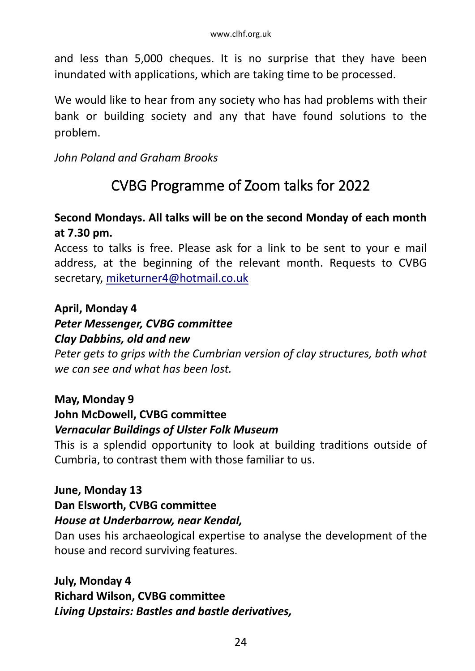and less than 5,000 cheques. It is no surprise that they have been inundated with applications, which are taking time to be processed.

We would like to hear from any society who has had problems with their bank or building society and any that have found solutions to the problem.

*John Poland and Graham Brooks*

## CVBG Programme of Zoom talks for 2022

#### **Second Mondays. All talks will be on the second Monday of each month at 7.30 pm.**

Access to talks is free. Please ask for a link to be sent to your e mail address, at the beginning of the relevant month. Requests to CVBG secretary, [miketurner4@hotmail.co.uk](mailto:miketurner4@hotmail.co.uk)

#### **April, Monday 4**

#### *Peter Messenger, CVBG committee*

#### *Clay Dabbins, old and new*

*Peter gets to grips with the Cumbrian version of clay structures, both what we can see and what has been lost.* 

#### **May, Monday 9**

#### **John McDowell, CVBG committee** *Vernacular Buildings of Ulster Folk Museum*

This is a splendid opportunity to look at building traditions outside of Cumbria, to contrast them with those familiar to us.

#### **June, Monday 13**

#### **Dan Elsworth, CVBG committee**

#### *House at Underbarrow, near Kendal,*

Dan uses his archaeological expertise to analyse the development of the house and record surviving features.

**July, Monday 4 Richard Wilson, CVBG committee** *Living Upstairs: Bastles and bastle derivatives,*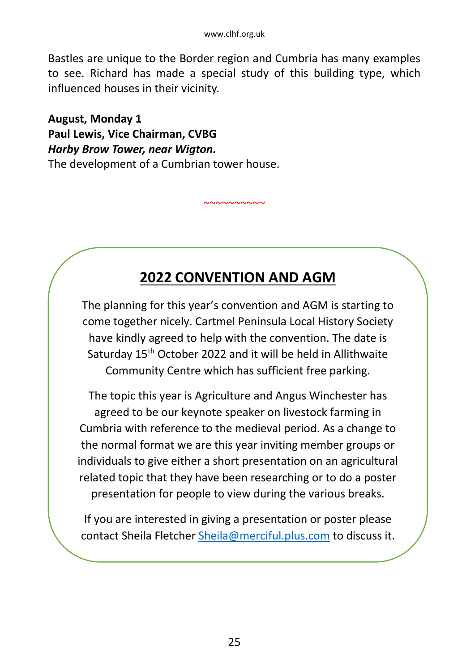Bastles are unique to the Border region and Cumbria has many examples to see. Richard has made a special study of this building type, which influenced houses in their vicinity.

**August, Monday 1 Paul Lewis, Vice Chairman, CVBG** *Harby Brow Tower, near Wigton.*  The development of a Cumbrian tower house.

#### ֦ **2022 CONVENTION AND AGM**

 $~\sim$   $\sim$   $\sim$   $\sim$   $\sim$   $\sim$ 

 The planning for this year's convention and AGM is starting to one together meery. Cartiner remiisala Locar mstory society Community Centre which has sufficient free parking. come together nicely. Cartmel Peninsula Local History Society Saturday 15<sup>th</sup> October 2022 and it will be held in Allithwaite

 The topic this year is Agriculture and Angus Winchester has Cumbria with reference to the medieval period. As a change to individuals to give either a short presentation on an agricultural presentation for people to view during the various breaks. agreed to be our keynote speaker on livestock farming in the normal format we are this year inviting member groups or related topic that they have been researching or to do a poster

If you are interested in giving a presentation or poster please<br>contact Sheila Fletcher <u>Sheila@merciful.plus.com</u> to discuss it. If you are interested in giving a presentation or poster please